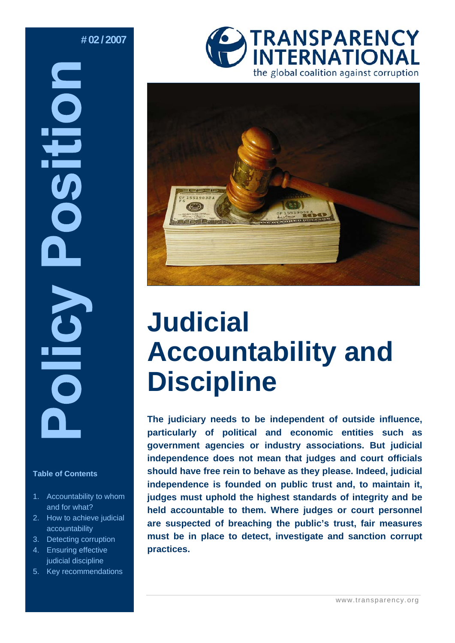# **# 02 / 2007**

# DSITION **Olicy**

### **Table of Contents**

- 1. Accountability to whom and for what?
- 2. How to achieve judicial accountability
- 3. Detecting corruption
- 4. Ensuring effective judicial discipline
- 5. Key recommendations





# **Judicial Accountability and Discipline**

**The judiciary needs to be independent of outside influence, particularly of political and economic entities such as government agencies or industry associations. But judicial independence does not mean that judges and court officials should have free rein to behave as they please. Indeed, judicial independence is founded on public trust and, to maintain it, judges must uphold the highest standards of integrity and be held accountable to them. Where judges or court personnel are suspected of breaching the public's trust, fair measures must be in place to detect, investigate and sanction corrupt practices.**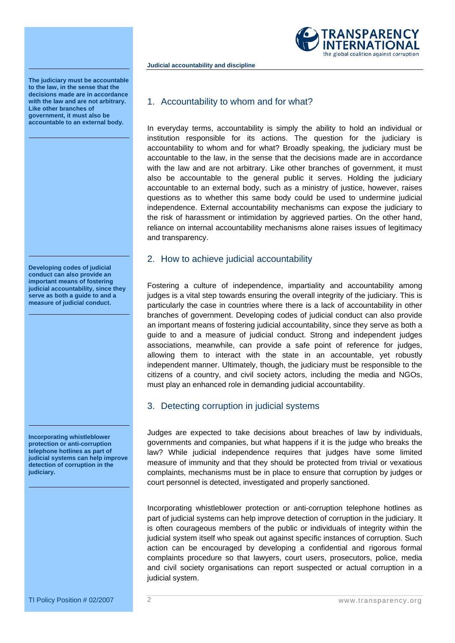

**The judiciary must be accountable to the law, in the sense that the decisions made are in accordance with the law and are not arbitrary. Like other branches of government, it must also be accountable to an external body.** 

**Developing codes of judicial conduct can also provide an important means of fostering judicial accountability, since they serve as both a guide to and a measure of judicial conduct.** 

**Incorporating whistleblower protection or anti-corruption telephone hotlines as part of judicial systems can help improve detection of corruption in the judiciary.** 

## 1. Accountability to whom and for what?

**Judicial accountability and discipline** 

In everyday terms, accountability is simply the ability to hold an individual or institution responsible for its actions. The question for the judiciary is accountability to whom and for what? Broadly speaking, the judiciary must be accountable to the law, in the sense that the decisions made are in accordance with the law and are not arbitrary. Like other branches of government, it must also be accountable to the general public it serves. Holding the judiciary accountable to an external body, such as a ministry of justice, however, raises questions as to whether this same body could be used to undermine judicial independence. External accountability mechanisms can expose the judiciary to the risk of harassment or intimidation by aggrieved parties. On the other hand, reliance on internal accountability mechanisms alone raises issues of legitimacy and transparency.

### 2. How to achieve judicial accountability

Fostering a culture of independence, impartiality and accountability among judges is a vital step towards ensuring the overall integrity of the judiciary. This is particularly the case in countries where there is a lack of accountability in other branches of government. Developing codes of judicial conduct can also provide an important means of fostering judicial accountability, since they serve as both a guide to and a measure of judicial conduct. Strong and independent judges associations, meanwhile, can provide a safe point of reference for judges, allowing them to interact with the state in an accountable, yet robustly independent manner. Ultimately, though, the judiciary must be responsible to the citizens of a country, and civil society actors, including the media and NGOs, must play an enhanced role in demanding judicial accountability.

# 3. Detecting corruption in judicial systems

Judges are expected to take decisions about breaches of law by individuals, governments and companies, but what happens if it is the judge who breaks the law? While judicial independence requires that judges have some limited measure of immunity and that they should be protected from trivial or vexatious complaints, mechanisms must be in place to ensure that corruption by judges or court personnel is detected, investigated and properly sanctioned.

Incorporating whistleblower protection or anti-corruption telephone hotlines as part of judicial systems can help improve detection of corruption in the judiciary. It is often courageous members of the public or individuals of integrity within the judicial system itself who speak out against specific instances of corruption. Such action can be encouraged by developing a confidential and rigorous formal complaints procedure so that lawyers, court users, prosecutors, police, media and civil society organisations can report suspected or actual corruption in a judicial system.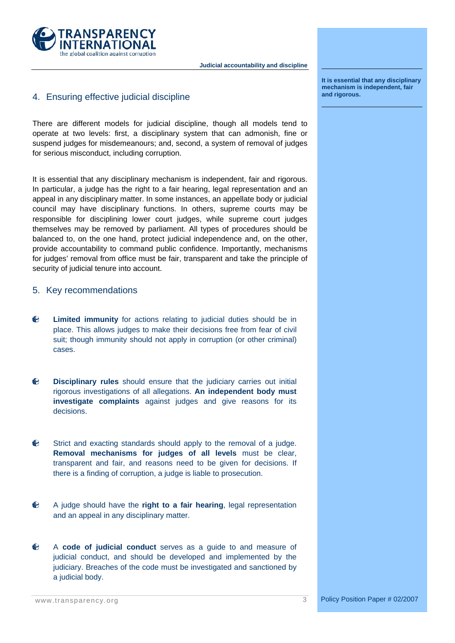

# 4. Ensuring effective judicial discipline

There are different models for judicial discipline, though all models tend to operate at two levels: first, a disciplinary system that can admonish, fine or suspend judges for misdemeanours; and, second, a system of removal of judges for serious misconduct, including corruption.

It is essential that any disciplinary mechanism is independent, fair and rigorous. In particular, a judge has the right to a fair hearing, legal representation and an appeal in any disciplinary matter. In some instances, an appellate body or judicial council may have disciplinary functions. In others, supreme courts may be responsible for disciplining lower court judges, while supreme court judges themselves may be removed by parliament. All types of procedures should be balanced to, on the one hand, protect judicial independence and, on the other, provide accountability to command public confidence. Importantly, mechanisms for judges' removal from office must be fair, transparent and take the principle of security of judicial tenure into account.

### 5. Key recommendations

- **Limited immunity** for actions relating to judicial duties should be in € place. This allows judges to make their decisions free from fear of civil suit; though immunity should not apply in corruption (or other criminal) cases.
- € **Disciplinary rules** should ensure that the judiciary carries out initial rigorous investigations of all allegations. **An independent body must investigate complaints** against judges and give reasons for its decisions.
- € Strict and exacting standards should apply to the removal of a judge. **Removal mechanisms for judges of all levels** must be clear, transparent and fair, and reasons need to be given for decisions. If there is a finding of corruption, a judge is liable to prosecution.
- € A judge should have the **right to a fair hearing**, legal representation and an appeal in any disciplinary matter.
- € A **code of judicial conduct** serves as a guide to and measure of judicial conduct, and should be developed and implemented by the judiciary. Breaches of the code must be investigated and sanctioned by a judicial body.

**It is essential that any disciplinary mechanism is independent, fair and rigorous.**